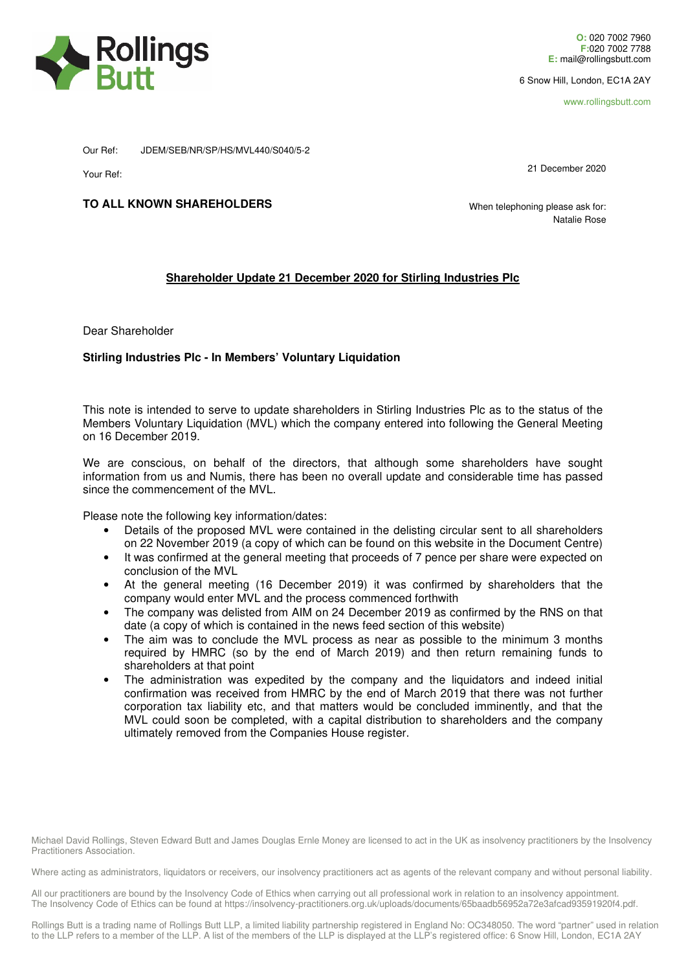

6 Snow Hill, London, EC1A 2AY

www.rollingsbutt.com

Our Ref: JDEM/SEB/NR/SP/HS/MVL440/S040/5-2

Your Ref:

21 December 2020

## **TO ALL KNOWN SHAREHOLDERS**

 When telephoning please ask for: Natalie Rose

## **Shareholder Update 21 December 2020 for Stirling Industries Plc**

Dear Shareholder

## **Stirling Industries Plc - In Members' Voluntary Liquidation**

This note is intended to serve to update shareholders in Stirling Industries Plc as to the status of the Members Voluntary Liquidation (MVL) which the company entered into following the General Meeting on 16 December 2019.

We are conscious, on behalf of the directors, that although some shareholders have sought information from us and Numis, there has been no overall update and considerable time has passed since the commencement of the MVL.

Please note the following key information/dates:

- Details of the proposed MVL were contained in the delisting circular sent to all shareholders on 22 November 2019 (a copy of which can be found on this website in the Document Centre)
- It was confirmed at the general meeting that proceeds of 7 pence per share were expected on conclusion of the MVL
- At the general meeting (16 December 2019) it was confirmed by shareholders that the company would enter MVL and the process commenced forthwith
- The company was delisted from AIM on 24 December 2019 as confirmed by the RNS on that date (a copy of which is contained in the news feed section of this website)
- The aim was to conclude the MVL process as near as possible to the minimum 3 months required by HMRC (so by the end of March 2019) and then return remaining funds to shareholders at that point
- The administration was expedited by the company and the liquidators and indeed initial confirmation was received from HMRC by the end of March 2019 that there was not further corporation tax liability etc, and that matters would be concluded imminently, and that the MVL could soon be completed, with a capital distribution to shareholders and the company ultimately removed from the Companies House register.

Michael David Rollings, Steven Edward Butt and James Douglas Ernle Money are licensed to act in the UK as insolvency practitioners by the Insolvency Practitioners Association.

Where acting as administrators, liquidators or receivers, our insolvency practitioners act as agents of the relevant company and without personal liability.

All our practitioners are bound by the Insolvency Code of Ethics when carrying out all professional work in relation to an insolvency appointment. The Insolvency Code of Ethics can be found at https://insolvency-practitioners.org.uk/uploads/documents/65baadb56952a72e3afcad93591920f4.pdf.

Rollings Butt is a trading name of Rollings Butt LLP, a limited liability partnership registered in England No: OC348050. The word "partner" used in relation to the LLP refers to a member of the LLP. A list of the members of the LLP is displayed at the LLP's registered office: 6 Snow Hill, London, EC1A 2AY